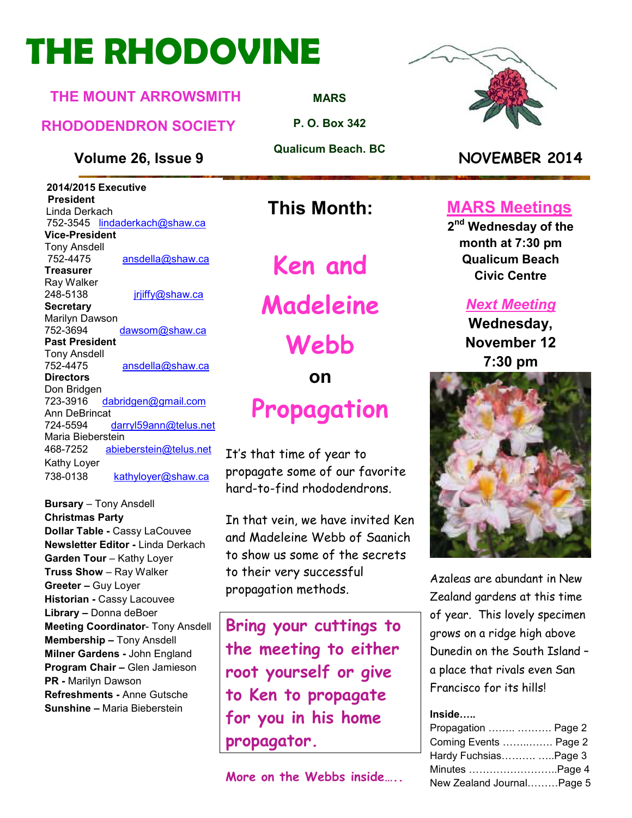# **THE RHODOVINE**

#### **THE MOUNT ARROWSMITH**

#### **RHODODENDRON SOCIETY**

**Volume 26, Issue 9 NOVEMBER 2014**

**2014/2015 Executive President**  Linda Derkach 752-3545 lindaderkach@shaw.ca **Vice-President**  Tony Ansdell ansdella@shaw.ca **Treasurer**  Ray Walker 248-5138 jrjiffy@shaw.ca **Secretary** Marilyn Dawson 752-3694 dawsom@shaw.ca **Past President**  Tony Ansdell 752-4475 ansdella@shaw.ca **Directors**  Don Bridgen 723-3916 dabridgen@gmail.com Ann DeBrincat<br>724-5594 darryl59ann@telus.net Maria Bieberstein 468-7252 abieberstein@telus.net Kathy Loyer 738-0138 kathyloyer@shaw.ca

**Bursary** – Tony Ansdell **Christmas Party Dollar Table -** Cassy LaCouvee **Newsletter Editor -** Linda Derkach **Garden Tour** – Kathy Loyer **Truss Show** – Ray Walker **Greeter –** Guy Loyer **Historian -** Cassy Lacouvee **Library –** Donna deBoer **Meeting Coordinator- Tony Ansdell Membership –** Tony Ansdell **Milner Gardens -** John England **Program Chair –** Glen Jamieson **PR -** Marilyn Dawson **Refreshments -** Anne Gutsche **Sunshine –** Maria Bieberstein

**MARS**

**P. O. Box 342** 

**Qualicum Beach. BC** 

### **This Month:**

**Ken and** 

**Madeleine** 

**Webb** 

**on** 

### **Propagation**

It's that time of year to propagate some of our favorite hard-to-find rhododendrons.

In that vein, we have invited Ken and Madeleine Webb of Saanich to show us some of the secrets to their very successful propagation methods.

**Bring your cuttings to the meeting to either root yourself or give to Ken to propagate for you in his home propagator.** 



### **MARS Meetings**

**2 nd Wednesday of the month at 7:30 pm Qualicum Beach Civic Centre** 

#### *Next Meeting*

**Wednesday, November 12 7:30 pm** 



Azaleas are abundant in New Zealand gardens at this time of year. This lovely specimen grows on a ridge high above Dunedin on the South Island – a place that rivals even San Francisco for its hills!

#### **Inside;..**

| Propagation   Page 2      |  |
|---------------------------|--|
| Coming Events  Page 2     |  |
| Hardy FuchsiasPage 3      |  |
| Minutes Page 4            |  |
| New Zealand JournalPage 5 |  |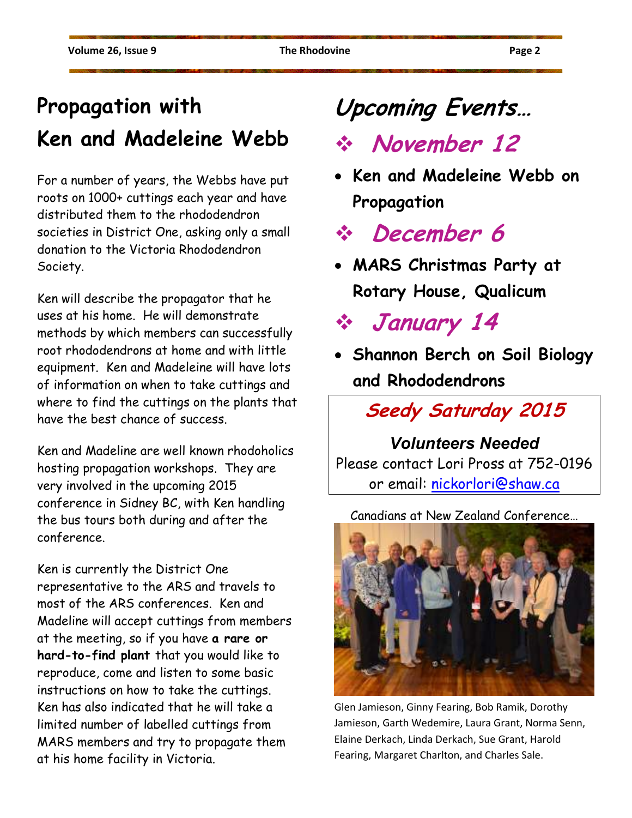### **Propagation with Ken and Madeleine Webb**

For a number of years, the Webbs have put roots on 1000+ cuttings each year and have distributed them to the rhododendron societies in District One, asking only a small donation to the Victoria Rhododendron Society.

Ken will describe the propagator that he uses at his home. He will demonstrate methods by which members can successfully root rhododendrons at home and with little equipment. Ken and Madeleine will have lots of information on when to take cuttings and where to find the cuttings on the plants that have the best chance of success.

Ken and Madeline are well known rhodoholics hosting propagation workshops. They are very involved in the upcoming 2015 conference in Sidney BC, with Ken handling the bus tours both during and after the conference.

Ken is currently the District One representative to the ARS and travels to most of the ARS conferences. Ken and Madeline will accept cuttings from members at the meeting, so if you have **a rare or hard-to-find plant** that you would like to reproduce, come and listen to some basic instructions on how to take the cuttings. Ken has also indicated that he will take a limited number of labelled cuttings from MARS members and try to propagate them at his home facility in Victoria.

## **Upcoming Events…**

### **November 12**

• **Ken and Madeleine Webb on Propagation** 

**December 6** 

• **MARS Christmas Party at Rotary House, Qualicum** 

**January 14** 

• **Shannon Berch on Soil Biology and Rhododendrons** 

**Seedy Saturday 2015** 

### *Volunteers Needed*

Please contact Lori Pross at 752-0196 or email: nickorlori@shaw.ca

Canadians at New Zealand Conference…



Glen Jamieson, Ginny Fearing, Bob Ramik, Dorothy Jamieson, Garth Wedemire, Laura Grant, Norma Senn, Elaine Derkach, Linda Derkach, Sue Grant, Harold Fearing, Margaret Charlton, and Charles Sale.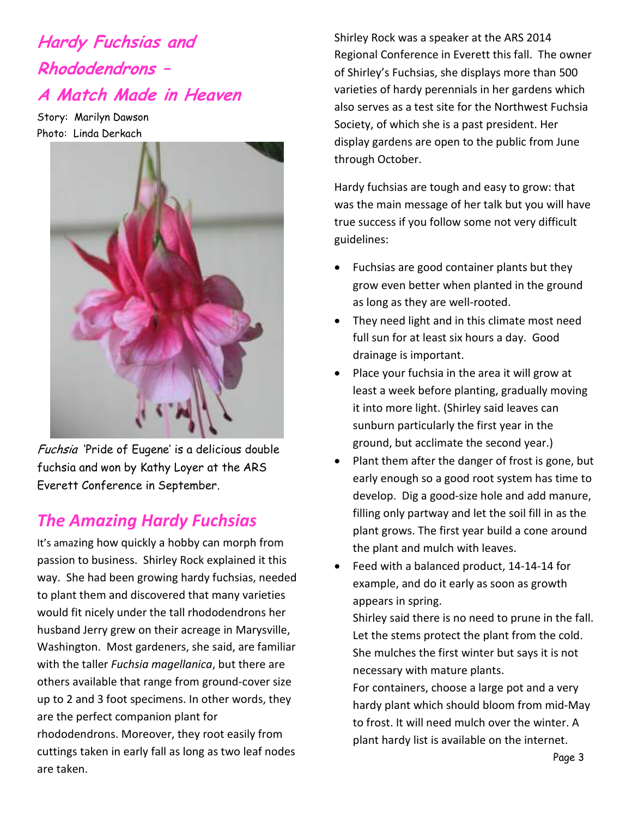### **Hardy Fuchsias and Rhododendrons – A Match Made in Heaven**

Story: Marilyn Dawson Photo: Linda Derkach



Fuchsia 'Pride of Eugene' is a delicious double fuchsia and won by Kathy Loyer at the ARS Everett Conference in September.

### *The Amazing Hardy Fuchsias*

It's amazing how quickly a hobby can morph from passion to business. Shirley Rock explained it this way. She had been growing hardy fuchsias, needed to plant them and discovered that many varieties would fit nicely under the tall rhododendrons her husband Jerry grew on their acreage in Marysville, Washington. Most gardeners, she said, are familiar with the taller *Fuchsia magellanica*, but there are others available that range from ground-cover size up to 2 and 3 foot specimens. In other words, they are the perfect companion plant for rhododendrons. Moreover, they root easily from cuttings taken in early fall as long as two leaf nodes are taken.

Shirley Rock was a speaker at the ARS 2014 Regional Conference in Everett this fall. The owner of Shirley's Fuchsias, she displays more than 500 varieties of hardy perennials in her gardens which also serves as a test site for the Northwest Fuchsia Society, of which she is a past president. Her display gardens are open to the public from June through October.

Hardy fuchsias are tough and easy to grow: that was the main message of her talk but you will have true success if you follow some not very difficult guidelines:

- Fuchsias are good container plants but they grow even better when planted in the ground as long as they are well-rooted.
- They need light and in this climate most need full sun for at least six hours a day. Good drainage is important.
- Place your fuchsia in the area it will grow at least a week before planting, gradually moving it into more light. (Shirley said leaves can sunburn particularly the first year in the ground, but acclimate the second year.)
- Plant them after the danger of frost is gone, but early enough so a good root system has time to develop. Dig a good-size hole and add manure, filling only partway and let the soil fill in as the plant grows. The first year build a cone around the plant and mulch with leaves.
- Feed with a balanced product, 14-14-14 for example, and do it early as soon as growth appears in spring.

Shirley said there is no need to prune in the fall. Let the stems protect the plant from the cold. She mulches the first winter but says it is not necessary with mature plants.

For containers, choose a large pot and a very hardy plant which should bloom from mid-May to frost. It will need mulch over the winter. A plant hardy list is available on the internet.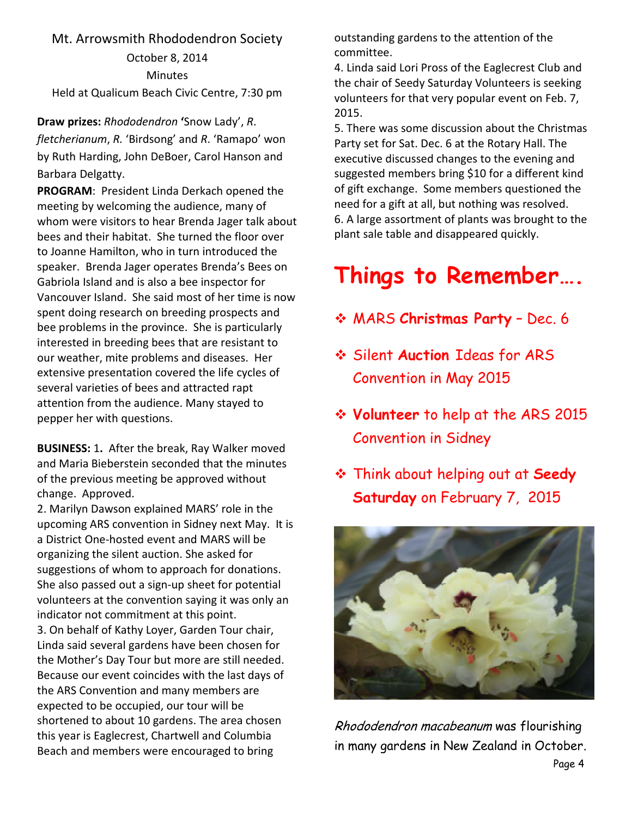#### Mt. Arrowsmith Rhododendron Society

October 8, 2014 **Minutes** Held at Qualicum Beach Civic Centre, 7:30 pm

**Draw prizes:** *Rhododendron* **'**Snow Lady', *R*. *fletcherianum*, *R.* 'Birdsong' and *R*. 'Ramapo' won by Ruth Harding, John DeBoer, Carol Hanson and Barbara Delgatty.

**PROGRAM**: President Linda Derkach opened the meeting by welcoming the audience, many of whom were visitors to hear Brenda Jager talk about bees and their habitat. She turned the floor over to Joanne Hamilton, who in turn introduced the speaker. Brenda Jager operates Brenda's Bees on Gabriola Island and is also a bee inspector for Vancouver Island. She said most of her time is now spent doing research on breeding prospects and bee problems in the province. She is particularly interested in breeding bees that are resistant to our weather, mite problems and diseases. Her extensive presentation covered the life cycles of several varieties of bees and attracted rapt attention from the audience. Many stayed to pepper her with questions.

**BUSINESS:** 1**.** After the break, Ray Walker moved and Maria Bieberstein seconded that the minutes of the previous meeting be approved without change. Approved.

2. Marilyn Dawson explained MARS' role in the upcoming ARS convention in Sidney next May. It is a District One-hosted event and MARS will be organizing the silent auction. She asked for suggestions of whom to approach for donations. She also passed out a sign-up sheet for potential volunteers at the convention saying it was only an indicator not commitment at this point. 3. On behalf of Kathy Loyer, Garden Tour chair, Linda said several gardens have been chosen for the Mother's Day Tour but more are still needed. Because our event coincides with the last days of the ARS Convention and many members are expected to be occupied, our tour will be shortened to about 10 gardens. The area chosen this year is Eaglecrest, Chartwell and Columbia Beach and members were encouraged to bring

outstanding gardens to the attention of the committee.

4. Linda said Lori Pross of the Eaglecrest Club and the chair of Seedy Saturday Volunteers is seeking volunteers for that very popular event on Feb. 7, 2015.

5. There was some discussion about the Christmas Party set for Sat. Dec. 6 at the Rotary Hall. The executive discussed changes to the evening and suggested members bring \$10 for a different kind of gift exchange. Some members questioned the need for a gift at all, but nothing was resolved. 6. A large assortment of plants was brought to the plant sale table and disappeared quickly.

### **Things to Remember….**

- MARS **Christmas Party** Dec. 6
- Silent **Auction** Ideas for ARS Convention in May 2015
- **Volunteer** to help at the ARS 2015 Convention in Sidney
- Think about helping out at **Seedy Saturday** on February 7, 2015



Rhododendron macabeanum was flourishing in many gardens in New Zealand in October.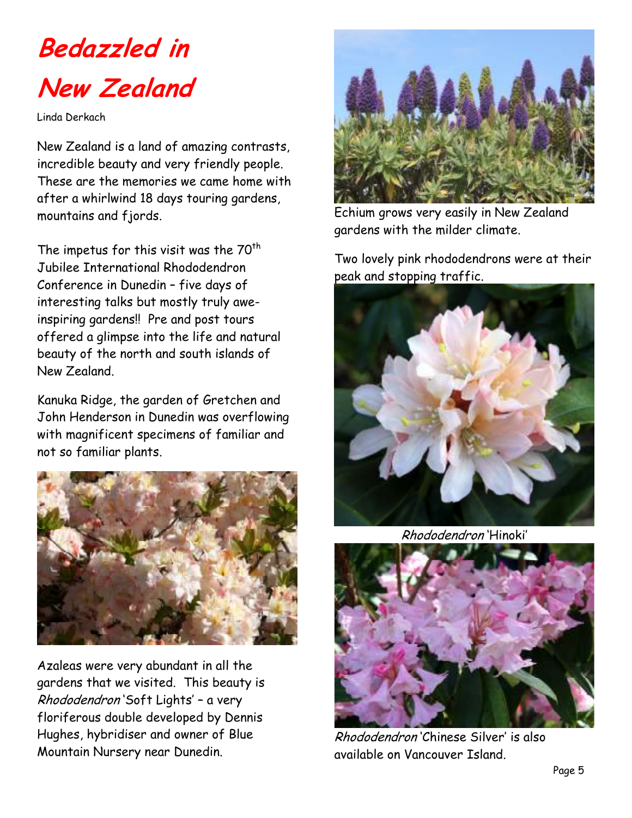

Linda Derkach

New Zealand is a land of amazing contrasts, incredible beauty and very friendly people. These are the memories we came home with after a whirlwind 18 days touring gardens, mountains and fjords.

The impetus for this visit was the  $70<sup>th</sup>$ Jubilee International Rhododendron Conference in Dunedin – five days of interesting talks but mostly truly aweinspiring gardens!! Pre and post tours offered a glimpse into the life and natural beauty of the north and south islands of New Zealand.

Kanuka Ridge, the garden of Gretchen and John Henderson in Dunedin was overflowing with magnificent specimens of familiar and not so familiar plants.



Azaleas were very abundant in all the gardens that we visited. This beauty is Rhododendron 'Soft Lights' – a very floriferous double developed by Dennis Hughes, hybridiser and owner of Blue Mountain Nursery near Dunedin.



Echium grows very easily in New Zealand gardens with the milder climate.

Two lovely pink rhododendrons were at their peak and stopping traffic.



Rhododendron 'Hinoki'



Rhododendron 'Chinese Silver' is also available on Vancouver Island.